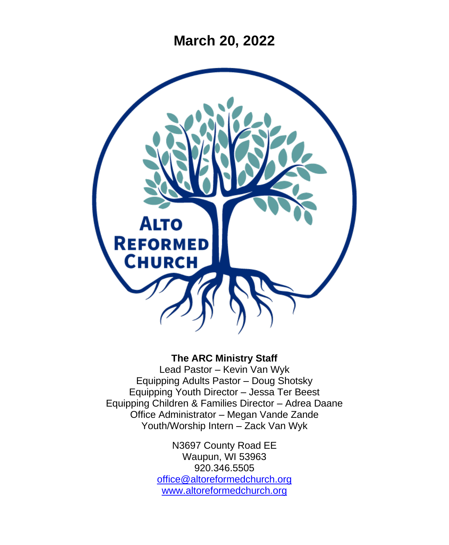**March 20, 2022**



### **The ARC Ministry Staff**

Lead Pastor – Kevin Van Wyk Equipping Adults Pastor – Doug Shotsky Equipping Youth Director – Jessa Ter Beest Equipping Children & Families Director – Adrea Daane Office Administrator – Megan Vande Zande Youth/Worship Intern – Zack Van Wyk

> N3697 County Road EE Waupun, WI 53963 920.346.5505 [office@altoreformedchurch.org](mailto:office@altoreformedchurch.org) [www.altoreformedchurch.org](http://www.altoreformedchurch.org/)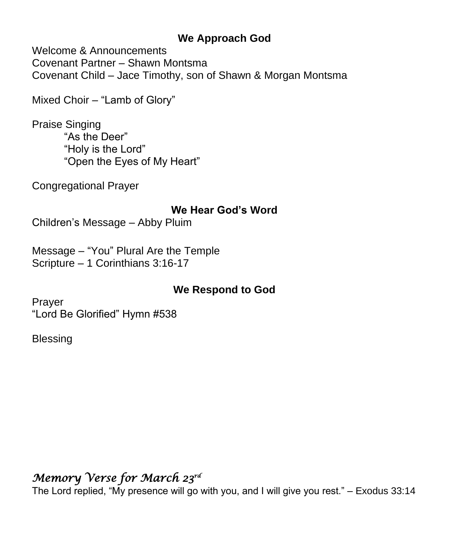### **We Approach God**

Welcome & Announcements Covenant Partner – Shawn Montsma Covenant Child – Jace Timothy, son of Shawn & Morgan Montsma

Mixed Choir – "Lamb of Glory"

Praise Singing "As the Deer" "Holy is the Lord" "Open the Eyes of My Heart"

Congregational Prayer

### **We Hear God's Word**

Children's Message – Abby Pluim

Message – "You" Plural Are the Temple Scripture – 1 Corinthians 3:16-17

### **We Respond to God**

Prayer "Lord Be Glorified" Hymn #538

**Blessing** 

# *Memory Verse for March 23rd*

The Lord replied, "My presence will go with you, and I will give you rest." – Exodus 33:14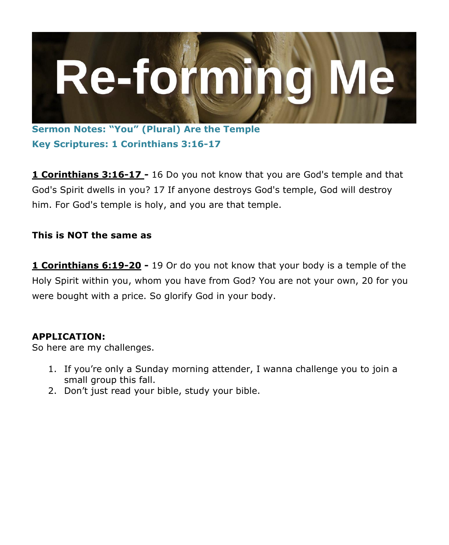

**Sermon Notes: "You" (Plural) Are the Temple Key Scriptures: 1 Corinthians 3:16-17**

**1 Corinthians 3:16-17 -** 16 Do you not know that you are God's temple and that God's Spirit dwells in you? 17 If anyone destroys God's temple, God will destroy him. For God's temple is holy, and you are that temple.

### **This is NOT the same as**

**1 Corinthians 6:19-20 -** 19 Or do you not know that your body is a temple of the Holy Spirit within you, whom you have from God? You are not your own, 20 for you were bought with a price. So glorify God in your body.

#### **APPLICATION:**

So here are my challenges.

- 1. If you're only a Sunday morning attender, I wanna challenge you to join a small group this fall.
- 2. Don't just read your bible, study your bible.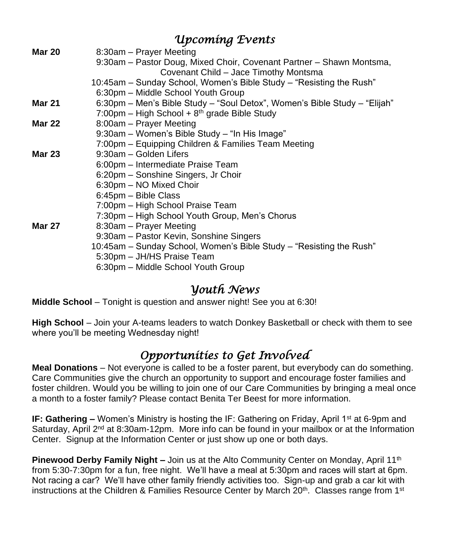|               | Upcoming Events                                                           |
|---------------|---------------------------------------------------------------------------|
| <b>Mar 20</b> | 8:30am - Prayer Meeting                                                   |
|               | 9:30am - Pastor Doug, Mixed Choir, Covenant Partner - Shawn Montsma,      |
|               | Covenant Child - Jace Timothy Montsma                                     |
|               | 10:45am – Sunday School, Women's Bible Study – "Resisting the Rush"       |
|               | 6:30pm - Middle School Youth Group                                        |
| <b>Mar 21</b> | 6:30pm – Men's Bible Study – "Soul Detox", Women's Bible Study – "Elijah" |
|               | 7:00pm - High School + $8th$ grade Bible Study                            |
| <b>Mar 22</b> | 8:00am - Prayer Meeting                                                   |
|               | 9:30am - Women's Bible Study - "In His Image"                             |
|               | 7:00pm – Equipping Children & Families Team Meeting                       |
| <b>Mar 23</b> | 9:30am - Golden Lifers                                                    |
|               | 6:00pm - Intermediate Praise Team                                         |
|               | 6:20pm - Sonshine Singers, Jr Choir                                       |
|               | 6:30pm - NO Mixed Choir                                                   |
|               | 6:45pm - Bible Class                                                      |
|               | 7:00pm – High School Praise Team                                          |
|               | 7:30pm – High School Youth Group, Men's Chorus                            |
| <b>Mar 27</b> | 8:30am - Prayer Meeting                                                   |
|               | 9:30am - Pastor Kevin, Sonshine Singers                                   |
|               | 10:45am – Sunday School, Women's Bible Study – "Resisting the Rush"       |
|               | 5:30pm - JH/HS Praise Team                                                |
|               | 6:30pm - Middle School Youth Group                                        |

## *Youth News*

**Middle School** – Tonight is question and answer night! See you at 6:30!

**High School** – Join your A-teams leaders to watch Donkey Basketball or check with them to see where you'll be meeting Wednesday night!

# *Opportunities to Get Involved*

**Meal Donations** – Not everyone is called to be a foster parent, but everybody can do something. Care Communities give the church an opportunity to support and encourage foster families and foster children. Would you be willing to join one of our Care Communities by bringing a meal once a month to a foster family? Please contact Benita Ter Beest for more information.

**IF: Gathering –** Women's Ministry is hosting the IF: Gathering on Friday, April 1<sup>st</sup> at 6-9pm and Saturday, April  $2<sup>nd</sup>$  at 8:30am-12pm. More info can be found in your mailbox or at the Information Center. Signup at the Information Center or just show up one or both days.

**Pinewood Derby Family Night –** Join us at the Alto Community Center on Monday, April 11<sup>th</sup> from 5:30-7:30pm for a fun, free night. We'll have a meal at 5:30pm and races will start at 6pm. Not racing a car? We'll have other family friendly activities too. Sign-up and grab a car kit with instructions at the Children & Families Resource Center by March  $20<sup>th</sup>$ . Classes range from  $1<sup>st</sup>$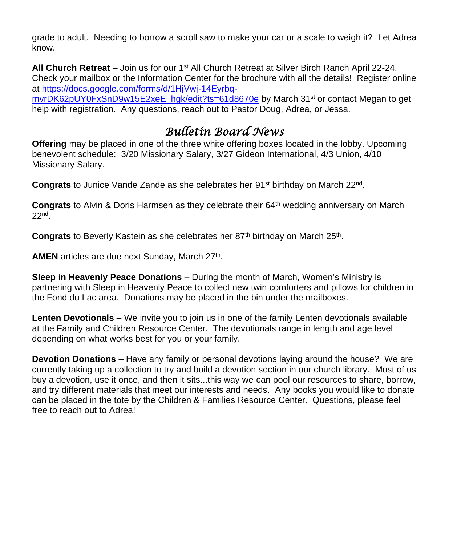grade to adult. Needing to borrow a scroll saw to make your car or a scale to weigh it? Let Adrea know.

**All Church Retreat –** Join us for our 1st All Church Retreat at Silver Birch Ranch April 22-24. Check your mailbox or the Information Center for the brochure with all the details! Register online at [https://docs.google.com/forms/d/1HjVwj-14Eyrbq-](https://docs.google.com/forms/d/1HjVwj-14Eyrbq-mvrDK62pUY0FxSnD9w15E2xeE_hgk/edit?ts=61d8670e)

[mvrDK62pUY0FxSnD9w15E2xeE\\_hgk/edit?ts=61d8670e](https://docs.google.com/forms/d/1HjVwj-14Eyrbq-mvrDK62pUY0FxSnD9w15E2xeE_hgk/edit?ts=61d8670e) by March 31<sup>st</sup> or contact Megan to get help with registration. Any questions, reach out to Pastor Doug, Adrea, or Jessa.

## *Bulletin Board News*

**Offering** may be placed in one of the three white offering boxes located in the lobby. Upcoming benevolent schedule: 3/20 Missionary Salary, 3/27 Gideon International, 4/3 Union, 4/10 Missionary Salary.

Congrats to Junice Vande Zande as she celebrates her 91<sup>st</sup> birthday on March 22<sup>nd</sup>.

**Congrats** to Alvin & Doris Harmsen as they celebrate their 64<sup>th</sup> wedding anniversary on March 22nd .

Congrats to Beverly Kastein as she celebrates her 87<sup>th</sup> birthday on March 25<sup>th</sup>.

AMEN articles are due next Sunday, March 27<sup>th</sup>.

**Sleep in Heavenly Peace Donations –** During the month of March, Women's Ministry is partnering with Sleep in Heavenly Peace to collect new twin comforters and pillows for children in the Fond du Lac area. Donations may be placed in the bin under the mailboxes.

**Lenten Devotionals** – We invite you to join us in one of the family Lenten devotionals available at the Family and Children Resource Center. The devotionals range in length and age level depending on what works best for you or your family.

**Devotion Donations** – Have any family or personal devotions laying around the house? We are currently taking up a collection to try and build a devotion section in our church library. Most of us buy a devotion, use it once, and then it sits...this way we can pool our resources to share, borrow, and try different materials that meet our interests and needs. Any books you would like to donate can be placed in the tote by the Children & Families Resource Center. Questions, please feel free to reach out to Adrea!